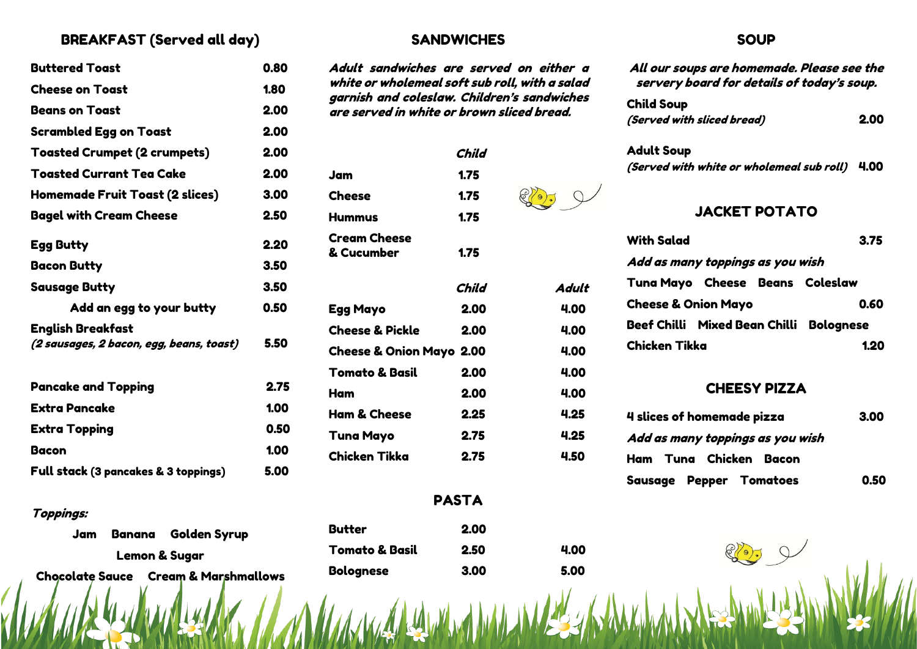# BREAKFAST (Served all day)

| <b>Buttered Toast</b>                                                | 0.80 |
|----------------------------------------------------------------------|------|
| <b>Cheese on Toast</b>                                               | 1.80 |
| <b>Beans on Toast</b>                                                | 2.00 |
| <b>Scrambled Egg on Toast</b>                                        | 2.00 |
| <b>Toasted Crumpet (2 crumpets)</b>                                  | 2.00 |
| <b>Toasted Currant Tea Cake</b>                                      | 2.00 |
| <b>Homemade Fruit Toast (2 slices)</b>                               | 3.00 |
| <b>Bagel with Cream Cheese</b>                                       | 2.50 |
| <b>Egg Butty</b>                                                     | 2.20 |
| <b>Bacon Butty</b>                                                   | 3.50 |
| <b>Sausage Butty</b>                                                 | 3.50 |
| Add an egg to your butty                                             | 0.50 |
| <b>English Breakfast</b><br>(2 sausages, 2 bacon, egg, beans, toast) | 5.50 |
| <b>Pancake and Topping</b>                                           | 2.75 |
| <b>Extra Pancake</b>                                                 | 1.00 |
| <b>Extra Topping</b>                                                 | 0.50 |
| <b>Bacon</b>                                                         | 1.00 |
| Full stack (3 pancakes & 3 toppings)                                 | 5.00 |

### Toppings:

|                          |  | Jam Banana Golden Syrup                         |  |
|--------------------------|--|-------------------------------------------------|--|
| <b>Lemon &amp; Sugar</b> |  |                                                 |  |
|                          |  | <b>Chocolate Sauce Cream &amp; Marshmallows</b> |  |

# **SANDWICHES**

Adult sandwiches are served on either a white or wholemeal soft sub roll, with a salad garnish and coleslaw. Children's sandwiches are served in white or brown sliced bread.

| Child |                                     |
|-------|-------------------------------------|
| 1.75  |                                     |
| 1.75  |                                     |
| 1.75  |                                     |
| 1.75  |                                     |
| Child | Adult                               |
| 2.00  | 4.00                                |
| 2.00  | 4.00                                |
|       | 4.00                                |
| 2.00  | 4.00                                |
| 2.00  | 4.00                                |
| 2.25  | 4.25                                |
| 2.75  | 4.25                                |
| 2.75  | 4.50                                |
|       | <b>Cheese &amp; Onion Mayo 2.00</b> |

## PASTA

Butter 2.00 Tomato & Basil 2.50 4.00 Bolognese 3.00 5.00

### SOUD<sub>1</sub>

| All our soups are homemade. Please see the<br>servery board for details of today's soup. |
|------------------------------------------------------------------------------------------|
| <b>Child Soup</b>                                                                        |
| (Served with sliced bread)<br>2.00                                                       |
| <b>Adult Soup</b>                                                                        |
| (Served with white or wholemeal sub roll)<br>4.00                                        |
| <b>JACKET POTATO</b>                                                                     |
| <b>With Salad</b><br>3.75                                                                |
| Add as many toppings as you wish                                                         |
| Tuna Mayo Cheese Beans Coleslaw                                                          |
| <b>Cheese &amp; Onion Mayo</b><br>0.60                                                   |
| <b>Bolognese</b>                                                                         |
| Chicken Tikka<br>1.20                                                                    |
|                                                                                          |

## CHEESY PIZZA

| 4 slices of homemade pizza       |      |
|----------------------------------|------|
| Add as many toppings as you wish |      |
| Ham Tuna Chicken Bacon           |      |
| <b>Sausage Pepper Tomatoes</b>   | 0.50 |